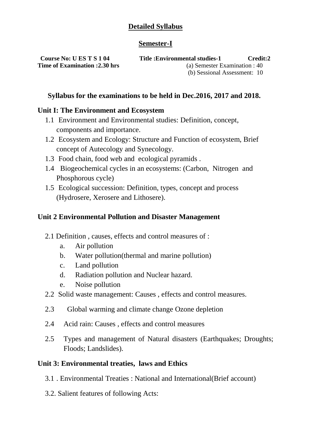# **Detailed Syllabus**

## **Semester-I**

**Course No: U ES T S 1 04 Title :Environmental studies-1 Credit:2 Time of Examination :2.30 hrs** (a) Semester Examination : 40 (b) Sessional Assessment: 10

# **Syllabus for the examinations to be held in Dec.2016, 2017 and 2018.**

## **Unit I: The Environment and Ecosystem**

- 1.1 Environment and Environmental studies: Definition, concept, components and importance.
- 1.2 Ecosystem and Ecology: Structure and Function of ecosystem, Brief concept of Autecology and Synecology.
- 1.3 Food chain, food web and ecological pyramids .
- 1.4 Biogeochemical cycles in an ecosystems: (Carbon, Nitrogen and Phosphorous cycle)
- 1.5 Ecological succession: Definition, types, concept and process (Hydrosere, Xerosere and Lithosere).

## **Unit 2 Environmental Pollution and Disaster Management**

- 2.1 Definition , causes, effects and control measures of :
	- a. Air pollution
	- b. Water pollution(thermal and marine pollution)
	- c. Land pollution
	- d. Radiation pollution and Nuclear hazard.
	- e. Noise pollution
- 2.2 Solid waste management: Causes , effects and control measures.
- 2.3 Global warming and climate change Ozone depletion
- 2.4 Acid rain: Causes , effects and control measures
- 2.5 Types and management of Natural disasters (Earthquakes; Droughts; Floods; Landslides).

## **Unit 3: Environmental treaties, laws and Ethics**

- 3.1 . Environmental Treaties : National and International(Brief account)
- 3.2. Salient features of following Acts: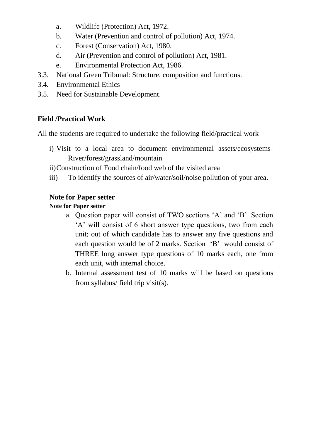- a. Wildlife (Protection) Act, 1972.
- b. Water (Prevention and control of pollution) Act, 1974.
- c. Forest (Conservation) Act, 1980.
- d. Air (Prevention and control of pollution) Act, 1981.
- e. Environmental Protection Act, 1986.
- 3.3. National Green Tribunal: Structure, composition and functions.
- 3.4. Environmental Ethics
- 3.5. Need for Sustainable Development.

# **Field /Practical Work**

All the students are required to undertake the following field/practical work

i) Visit to a local area to document environmental assets/ecosystems-River/forest/grassland/mountain

ii)Construction of Food chain/food web of the visited area

iii) To identify the sources of air/water/soil/noise pollution of your area.

# **Note for Paper setter**

# **Note for Paper setter**

- a. Question paper will consist of TWO sections 'A' and 'B'. Section 'A' will consist of 6 short answer type questions, two from each unit; out of which candidate has to answer any five questions and each question would be of 2 marks. Section 'B' would consist of THREE long answer type questions of 10 marks each, one from each unit, with internal choice.
- b. Internal assessment test of 10 marks will be based on questions from syllabus/ field trip visit(s).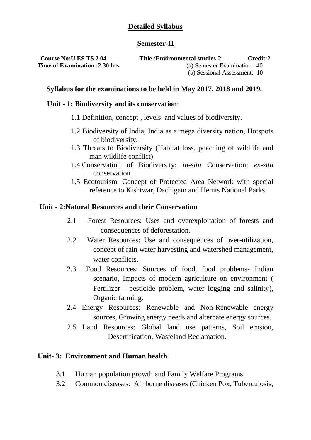# **Detailed Syllabus**

## **Semester-II**

**Course No:U ES TS 2 04 Title :Environmental studies-2 Credit:2 Time of Examination :2.30 hrs** (a) Semester Examination : 40 (b) Sessional Assessment: 10

## **Syllabus for the examinations to be held in May 2017, 2018 and 2019.**

#### **Unit - 1: Biodiversity and its conservation**:

- 1.1 Definition, concept , levels and values of biodiversity.
- 1.2 Biodiversity of India, India as a mega diversity nation, Hotspots of biodiversity.
- 1.3 Threats to Biodiversity (Habitat loss, poaching of wildlife and man wildlife conflict)
- 1.4 Conservation of Biodiversity: *in-situ* Conservation; *ex-situ*  conservation
- 1.5 Ecotourism, Concept of Protected Area Network with special reference to Kishtwar, Dachigam and Hemis National Parks.

#### **Unit - 2:Natural Resources and their Conservation**

- 2.1 Forest Resources: Uses and overexploitation of forests and consequences of deforestation.
- 2.2 Water Resources: Use and consequences of over-utilization, concept of rain water harvesting and watershed management, water conflicts.
- 2.3 Food Resources: Sources of food, food problems- Indian scenario, Impacts of modern agriculture on environment ( Fertilizer - pesticide problem, water logging and salinity), Organic farming.
- 2.4 Energy Resources: Renewable and Non-Renewable energy sources, Growing energy needs and alternate energy sources.
- 2.5 Land Resources: Global land use patterns, Soil erosion, Desertification, Wasteland Reclamation.

## **Unit- 3: Environment and Human health**

- 3.1 Human population growth and Family Welfare Programs.
- 3.2 Common diseases: Air borne diseases **(**Chicken Pox, Tuberculosis,